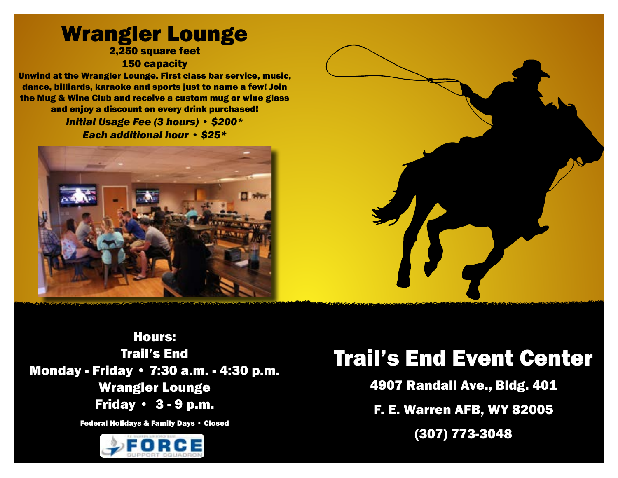#### Wrangler Lounge 2,250 square feet 150 capacity

Unwind at the Wrangler Lounge. First class bar service, music, dance, billiards, karaoke and sports just to name a few! Join the Mug & Wine Club and receive a custom mug or wine glass and enjoy a discount on every drink purchased!

#### *Initial Usage Fee (3 hours) • \$200\* Each additional hour • \$25\**





Hours: Trail's End Monday - Friday • 7:30 a.m. - 4:30 p.m. Wrangler Lounge Friday • 3 - 9 p.m.

Federal Holidays & Family Days • Closed



# Trail's End Event Center

4907 Randall Ave., Bldg. 401

F. E. Warren AFB, WY 82005

(307) 773-3048